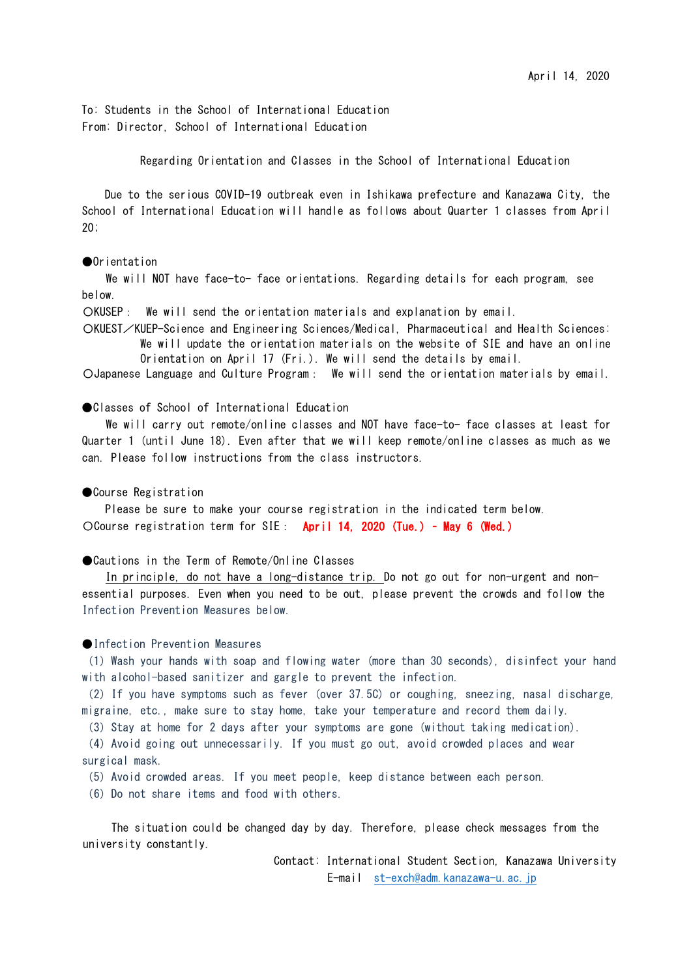To: Students in the School of International Education From: Director, School of International Education

Regarding Orientation and Classes in the School of International Education

Due to the serious COVID-19 outbreak even in Ishikawa prefecture and Kanazawa City, the School of International Education will handle as follows about Quarter 1 classes from April 20;

## ●Orientation

We will NOT have face-to- face orientations. Regarding details for each program, see below.

〇KUSEP: We will send the orientation materials and explanation by email.

〇KUEST/KUEP-Science and Engineering Sciences/Medical, Pharmaceutical and Health Sciences: We will update the orientation materials on the website of SIE and have an online Orientation on April 17 (Fri.). We will send the details by email.

〇Japanese Language and Culture Program: We will send the orientation materials by email.

## ●Classes of School of International Education

We will carry out remote/online classes and NOT have face-to- face classes at least for Quarter 1 (until June 18). Even after that we will keep remote/online classes as much as we can. Please follow instructions from the class instructors.

# ● Course Registration

Please be sure to make your course registration in the indicated term below. 〇Course registration term for SIE: April 14, 2020 (Tue.) – May 6 (Wed.)

● Cautions in the Term of Remote/Online Classes

In principle, do not have a long-distance trip. Do not go out for non-urgent and nonessential purposes. Even when you need to be out, please prevent the crowds and follow the Infection Prevention Measures below.

#### ●Infection Prevention Measures

(1)Wash your hands with soap and flowing water (more than 30 seconds), disinfect your hand with alcohol-based sanitizer and gargle to prevent the infection.

(2)If you have symptoms such as fever (over 37.5C) or coughing, sneezing, nasal discharge, migraine, etc., make sure to stay home, take your temperature and record them daily.

(3) Stay at home for 2 days after your symptoms are gone (without taking medication).

(4)Avoid going out unnecessarily. If you must go out, avoid crowded places and wear surgical mask.

(5)Avoid crowded areas. If you meet people, keep distance between each person.

(6) Do not share items and food with others.

 The situation could be changed day by day. Therefore, please check messages from the university constantly.

> Contact: International Student Section, Kanazawa University E-mail st-exch@adm.kanazawa-u.ac.jp